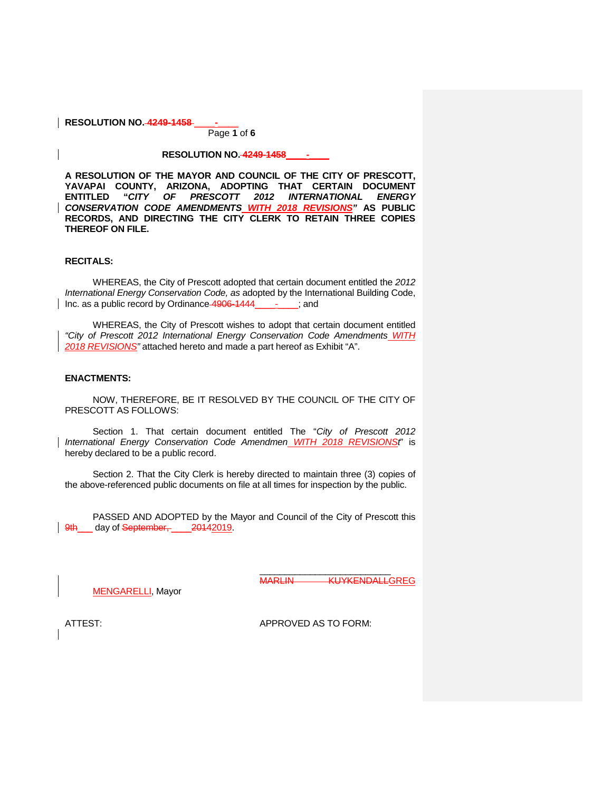Page **1** of **6**

#### **RESOLUTION NO. 4249-1458\_\_\_\_-\_\_\_\_**

**A RESOLUTION OF THE MAYOR AND COUNCIL OF THE CITY OF PRESCOTT, YAVAPAI COUNTY, ARIZONA, ADOPTING THAT CERTAIN DOCUMENT ENTITLED "***CITY OF PRESCOTT 2012 INTERNATIONAL ENERGY CONSERVATION CODE AMENDMENTS WITH 2018 REVISIONS"* **AS PUBLIC RECORDS, AND DIRECTING THE CITY CLERK TO RETAIN THREE COPIES THEREOF ON FILE.**

#### **RECITALS:**

WHEREAS, the City of Prescott adopted that certain document entitled the *2012 International Energy Conservation Code, as* adopted by the International Building Code, Inc. as a public record by Ordinance 4906-1444\_

WHEREAS, the City of Prescott wishes to adopt that certain document entitled *"City of Prescott 2012 International Energy Conservation Code Amendments WITH 2018 REVISIONS"* attached hereto and made a part hereof as Exhibit "A".

#### **ENACTMENTS:**

NOW, THEREFORE, BE IT RESOLVED BY THE COUNCIL OF THE CITY OF PRESCOTT AS FOLLOWS:

Section 1. That certain document entitled The "*City of Prescott 2012 International Energy Conservation Code Amendmen WITH 2018 REVISIONSt*" is hereby declared to be a public record.

Section 2. That the City Clerk is hereby directed to maintain three (3) copies of the above-referenced public documents on file at all times for inspection by the public.

PASSED AND ADOPTED by the Mayor and Council of the City of Prescott this 9th day of September, 20142019.

> $\overline{\phantom{a}}$  , which is a substitution of the set of the set of the set of the set of the set of the set of the set of the set of the set of the set of the set of the set of the set of the set of the set of the set of the MARLIN KUYKENDALLGREG

MENGARELLI, Mayor

ATTEST: APPROVED AS TO FORM: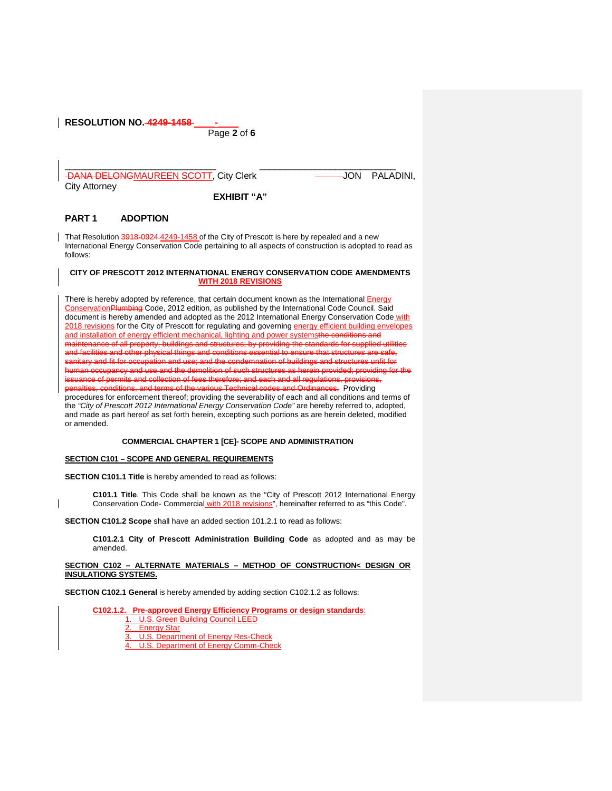Page **2** of **6**

\_\_\_\_\_\_\_\_\_\_\_\_\_\_\_\_\_\_\_\_\_\_\_\_\_\_\_\_\_\_ \_\_\_\_\_\_\_\_\_\_\_\_\_\_\_\_\_\_\_\_\_\_\_\_\_\_\_

DANA DELONGMAUREEN SCOTT, City Clerk **Journal Account Contract Contract Contract Contract Contract Contract Contract Contract Contract Contract Contract Contract Contract Contract Contract Contract Contract Contract Contra** City Attorney

**EXHIBIT "A"**

# **PART 1 ADOPTION**

That Resolution 3918-0924 4249-1458 of the City of Prescott is here by repealed and a new International Energy Conservation Code pertaining to all aspects of construction is adopted to read as follows:

#### **CITY OF PRESCOTT 2012 INTERNATIONAL ENERGY CONSERVATION CODE AMENDMENTS WITH 2018 REVISIONS**

There is hereby adopted by reference, that certain document known as the International **Energy** ConservationPlumbing Code, 2012 edition, as published by the International Code Council. Said document is hereby amended and adopted as the 2012 International Energy Conservation Code with 2018 revisions for the City of Prescott for regulating and governing energy efficient building envelopes and installation of energy efficient mechanical, lighting and power systemsthe conditions and ce of all property, buildings and structures; by providing the standards for supplied and facilities and other physical things and conditions essential to ensure that structures are safe. sanitary and fit for occupation and use; and the condemnation of buildings and structures unfit for<br>human occupancy and use and the demolition of such structures as berein provided: providing for ncy and use and the dem issuance of permits and collection of fees therefore; and each and all regulations penalties, conditions, and terms of the various Technical codes and Ordinances. Providing procedures for enforcement thereof; providing the severability of each and all conditions and terms of the *"City of Prescott 2012 International Energy Conservation Code"* are hereby referred to, adopted, and made as part hereof as set forth herein, excepting such portions as are herein deleted, modified or amended.

#### **COMMERCIAL CHAPTER 1 [CE]- SCOPE AND ADMINISTRATION**

#### **SECTION C101 – SCOPE AND GENERAL REQUIREMENTS**

**SECTION C101.1 Title** is hereby amended to read as follows:

**C101.1 Title**. This Code shall be known as the "City of Prescott 2012 International Energy Conservation Code- Commercial with 2018 revisions", hereinafter referred to as "this Code".

**SECTION C101.2 Scope** shall have an added section 101.2.1 to read as follows:

**C101.2.1 City of Prescott Administration Building Code** as adopted and as may be amended.

#### **SECTION C102 – ALTERNATE MATERIALS – METHOD OF CONSTRUCTION< DESIGN OR INSULATIONG SYSTEMS.**

**SECTION C102.1 General** is hereby amended by adding section C102.1.2 as follows:

### **C102.1.2. Pre-approved Energy Efficiency Programs or design standards**: 1. U.S. Green Building Council LEED

- **Energy Star**
- 3. U.S. Department of Energy Res-Check
- U.S. Department of Energy Comm-Check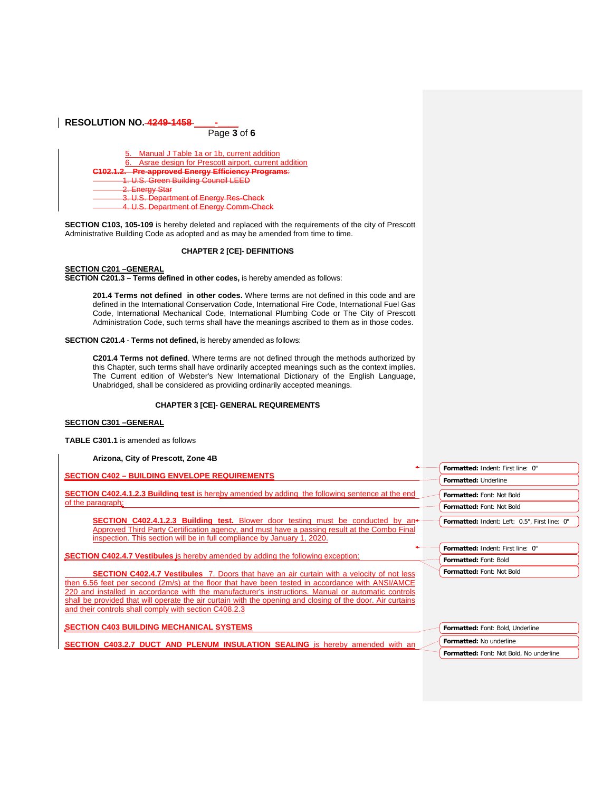| <b>RESOLUTION NO.-4249-1458</b>                     |  |  |  |
|-----------------------------------------------------|--|--|--|
| Page 3 of 6                                         |  |  |  |
| Manual J Table 1a or 1b, current addition           |  |  |  |
| Asrae design for Prescott airport, current addition |  |  |  |
| <b>Pre-approved Energy Efficiency Programs:</b>     |  |  |  |
| U.S. Green Building Council LEI                     |  |  |  |
| <b>Energy Star</b>                                  |  |  |  |
| S. Department of Fnergy Res-Check                   |  |  |  |
| <b>S. Department of Epergy Comm-Check</b>           |  |  |  |

**SECTION C103, 105-109** is hereby deleted and replaced with the requirements of the city of Prescott Administrative Building Code as adopted and as may be amended from time to time.

#### **CHAPTER 2 [CE]- DEFINITIONS**

**SECTION C201 –GENERAL SECTION C201.3 – Terms defined in other codes,** is hereby amended as follows:

**201.4 Terms not defined in other codes.** Where terms are not defined in this code and are defined in the International Conservation Code, International Fire Code, International Fuel Gas Code, International Mechanical Code, International Plumbing Code or The City of Prescott Administration Code, such terms shall have the meanings ascribed to them as in those codes.

**SECTION C201.4** - **Terms not defined,** is hereby amended as follows:

**C201.4 Terms not defined**. Where terms are not defined through the methods authorized by this Chapter, such terms shall have ordinarily accepted meanings such as the context implies. The Current edition of Webster's New International Dictionary of the English Language, Unabridged, shall be considered as providing ordinarily accepted meanings.

#### **CHAPTER 3 [CE]- GENERAL REQUIREMENTS**

### **SECTION C301 –GENERAL**

**TABLE C301.1** is amended as follows

**Arizona, City of Prescott, Zone 4B**

| <b>SECTION C402 - BUILDING ENVELOPE REQUIREMENTS</b>                                                                                                                                                                                                              | Formatted: Indent: First line: 0"             |
|-------------------------------------------------------------------------------------------------------------------------------------------------------------------------------------------------------------------------------------------------------------------|-----------------------------------------------|
|                                                                                                                                                                                                                                                                   | Formatted: Underline                          |
| <b>SECTION C402.4.1.2.3 Building test</b> is hereby amended by adding the following sentence at the end<br>of the paragraph:                                                                                                                                      | Formatted: Font: Not Bold                     |
|                                                                                                                                                                                                                                                                   | Formatted: Font: Not Bold                     |
| <b>SECTION C402.4.1.2.3 Building test.</b> Blower door testing must be conducted by an<br>Approved Third Party Certification agency, and must have a passing result at the Combo Final<br>inspection. This section will be in full compliance by January 1, 2020. | Formatted: Indent: Left: 0.5". First line: 0" |
| <b>SECTION C402.4.7 Vestibules</b> is hereby amended by adding the following exception:                                                                                                                                                                           | Formatted: Indent: First line: 0"             |
|                                                                                                                                                                                                                                                                   | Formatted: Font: Bold                         |
| <b>SECTION C402.4.7 Vestibules</b> 7. Doors that have an air curtain with a velocity of not less                                                                                                                                                                  | Formatted: Font: Not Bold                     |
| then 6.56 feet per second (2m/s) at the floor that have been tested in accordance with ANSI/AMCE                                                                                                                                                                  |                                               |
| 220 and installed in accordance with the manufacturer's instructions. Manual or automatic controls<br>shall be provided that will operate the air curtain with the opening and closing of the door. Air curtains                                                  |                                               |
| and their controls shall comply with section C408.2.3                                                                                                                                                                                                             |                                               |
| <b>SECTION C403 BUILDING MECHANICAL SYSTEMS</b>                                                                                                                                                                                                                   | Formatted: Font: Bold, Underline              |
| <b>SECTION C403.2.7 DUCT AND PLENUM INSULATION SEALING</b> is hereby amended with an                                                                                                                                                                              | Formatted: No underline                       |
|                                                                                                                                                                                                                                                                   | Formatted: Font: Not Bold, No underline       |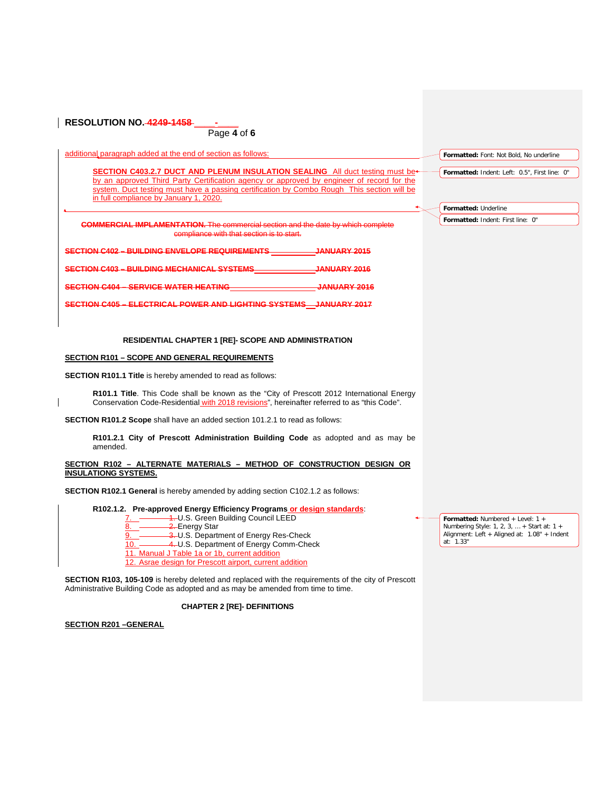| Page $4$ of 6                                                                                                                                                                                                                                                                                                      |                                               |
|--------------------------------------------------------------------------------------------------------------------------------------------------------------------------------------------------------------------------------------------------------------------------------------------------------------------|-----------------------------------------------|
| additional paragraph added at the end of section as follows:                                                                                                                                                                                                                                                       | Formatted: Font: Not Bold, No underline       |
| SECTION C403.2.7 DUCT AND PLENUM INSULATION SEALING All duct testing must be-<br>by an approved Third Party Certification agency or approved by engineer of record for the<br>system. Duct testing must have a passing certification by Combo Rough This section will be<br>in full compliance by January 1, 2020. | Formatted: Indent: Left: 0.5", First line: 0" |
|                                                                                                                                                                                                                                                                                                                    | Formatted: Underline                          |
| <b>COMMERCIAL IMPLAMENTATION.</b> The commercial section and the date by which complete<br>compliance with that section is to start.                                                                                                                                                                               | Formatted: Indent: First line: 0"             |
| SECTION C402 - BUILDING ENVELOPE REQUIREMENTS JANUARY 2015                                                                                                                                                                                                                                                         |                                               |
| SECTION C403 - BUILDING MECHANICAL SYSTEMS <b>SECTION C403 - BUILDING MECHANICAL SYSTEMS</b>                                                                                                                                                                                                                       |                                               |
| <b>SECTION C404 - SERVICE WATER HEATING</b><br><b>JANUARY 2016</b>                                                                                                                                                                                                                                                 |                                               |
| <b>SECTION C405 - ELECTRICAL POWER AND LIGHTING SYSTEMS JANUARY 2017</b>                                                                                                                                                                                                                                           |                                               |
| <b>RESIDENTIAL CHAPTER 1 [RE]- SCOPE AND ADMINISTRATION</b>                                                                                                                                                                                                                                                        |                                               |
| <b>SECTION R101 - SCOPE AND GENERAL REQUIREMENTS</b>                                                                                                                                                                                                                                                               |                                               |
| <b>SECTION R101.1 Title</b> is hereby amended to read as follows:                                                                                                                                                                                                                                                  |                                               |
| R101.1 Title. This Code shall be known as the "City of Prescott 2012 International Energy<br>Conservation Code-Residential with 2018 revisions", hereinafter referred to as "this Code".                                                                                                                           |                                               |
| <b>SECTION R101.2 Scope</b> shall have an added section 101.2.1 to read as follows:                                                                                                                                                                                                                                |                                               |
| R101.2.1 City of Prescott Administration Building Code as adopted and as may be<br>amended.                                                                                                                                                                                                                        |                                               |
| SECTION R102 - ALTERNATE MATERIALS - METHOD OF CONSTRUCTION DESIGN OR<br><b>INSULATIONG SYSTEMS.</b>                                                                                                                                                                                                               |                                               |
| SECTION R102.1 General is hereby amended by adding section C102.1.2 as follows:                                                                                                                                                                                                                                    |                                               |
| R102.1.2. Pre-approved Energy Efficiency Programs or design standards:                                                                                                                                                                                                                                             | Formatted: Numbered + Level: 1 +              |

**SECTION R103, 105-109** is hereby deleted and replaced with the requirements of the city of Prescott Administrative Building Code as adopted and as may be amended from time to time.

# **CHAPTER 2 [RE]- DEFINITIONS**

**SECTION R201 –GENERAL**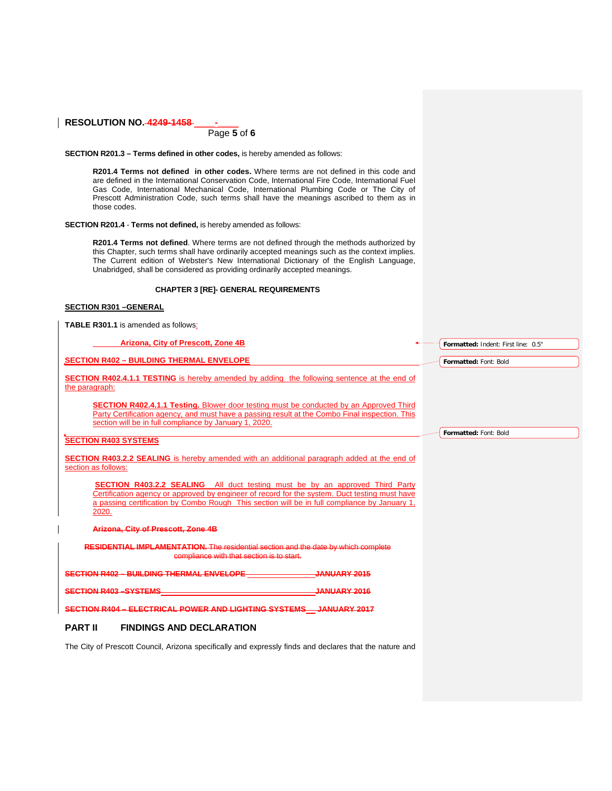Page **5** of **6**

**SECTION R201.3 – Terms defined in other codes,** is hereby amended as follows:

**R201.4 Terms not defined in other codes.** Where terms are not defined in this code and are defined in the International Conservation Code, International Fire Code, International Fuel Gas Code, International Mechanical Code, International Plumbing Code or The City of Prescott Administration Code, such terms shall have the meanings ascribed to them as in those codes.

**SECTION R201.4** - **Terms not defined,** is hereby amended as follows:

**R201.4 Terms not defined**. Where terms are not defined through the methods authorized by this Chapter, such terms shall have ordinarily accepted meanings such as the context implies. The Current edition of Webster's New International Dictionary of the English Language, Unabridged, shall be considered as providing ordinarily accepted meanings.

#### **CHAPTER 3 [RE]- GENERAL REQUIREMENTS**

### **SECTION R301 –GENERAL**

**TABLE R301.1** is amended as follows:

| Arizona, City of Prescott, Zone 4B                                                                                                                                                                                                                                                            | Formatted: Indent: First line: 0.5" |
|-----------------------------------------------------------------------------------------------------------------------------------------------------------------------------------------------------------------------------------------------------------------------------------------------|-------------------------------------|
| <b>SECTION R402 - BUILDING THERMAL ENVELOPE</b>                                                                                                                                                                                                                                               | Formatted: Font: Bold               |
| <b>SECTION R402.4.1.1 TESTING</b> is hereby amended by adding the following sentence at the end of<br>the paragraph:                                                                                                                                                                          |                                     |
| <b>SECTION R402.4.1.1 Testing.</b> Blower door testing must be conducted by an Approved Third<br>Party Certification agency, and must have a passing result at the Combo Final inspection. This<br>section will be in full compliance by January 1, 2020.                                     | Formatted: Font: Bold               |
| <b>SECTION R403 SYSTEMS</b>                                                                                                                                                                                                                                                                   |                                     |
| <b>SECTION R403.2.2 SEALING</b> is hereby amended with an additional paragraph added at the end of<br>section as follows:                                                                                                                                                                     |                                     |
| <b>SECTION R403.2.2 SEALING</b> All duct testing must be by an approved Third Party<br>Certification agency or approved by engineer of record for the system. Duct testing must have<br>a passing certification by Combo Rough This section will be in full compliance by January 1,<br>2020. |                                     |
| Arizona, City of Prescott, Zone 4B                                                                                                                                                                                                                                                            |                                     |
| <b>RESIDENTIAL IMPLAMENTATION.</b> The residential section and the date by which complete<br>compliance with that section is to start.                                                                                                                                                        |                                     |
| <b>SECTION R402 - BUILDING THERMAL ENVELOPE</b><br>JANUARY 2015                                                                                                                                                                                                                               |                                     |
| <b>SECTION R403-SYSTEMS</b><br><b>JANUARY 2016</b>                                                                                                                                                                                                                                            |                                     |
| SECTION R404 - ELECTRICAL POWER AND LIGHTING SYSTEMS JANUARY 2017                                                                                                                                                                                                                             |                                     |
| <b>PART II</b><br><b>FINDINGS AND DECLARATION</b>                                                                                                                                                                                                                                             |                                     |
| The City of Prescott Council, Arizona specifically and expressly finds and declares that the nature and                                                                                                                                                                                       |                                     |